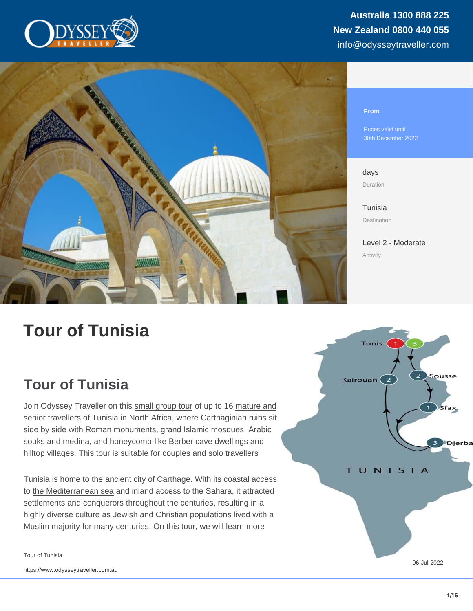Prices valid until 30th December 2022

days Duration

[Tunisia](https://www.odysseytraveller.com/destinations/africa/tunisia/) Destination

[Level 2 - Moderate](/tour-category/activity-levels/) Activity

# Tour of Tunisia

# Tour of Tunisia

Join Odyssey Traveller on this [small group tour](https://www.odysseytraveller.com/articles/small-group-tour/) of up to 16 [mature and](https://www.odysseytraveller.com/articles/being-travel-fit/) [senior travellers](https://www.odysseytraveller.com/articles/being-travel-fit/) of Tunisia in North Africa, where Carthaginian ruins sit side by side with Roman monuments, grand Islamic mosques, Arabic souks and medina, and honeycomb-like Berber cave dwellings and hilltop villages. This tour is suitable for couples and solo travellers

Tunisia is home to the ancient city of Carthage. With its coastal access to [the Mediterranean sea](https://www.odysseytraveller.com/articles/empires-crossing-the-mediterranean-1130-1300/) and inland access to the Sahara, it attracted settlements and conquerors throughout the centuries, resulting in a highly diverse culture as Jewish and Christian populations lived with a Muslim majority for many centuries. On this tour, we will learn more

Tour of Tunisia

06-Jul-2022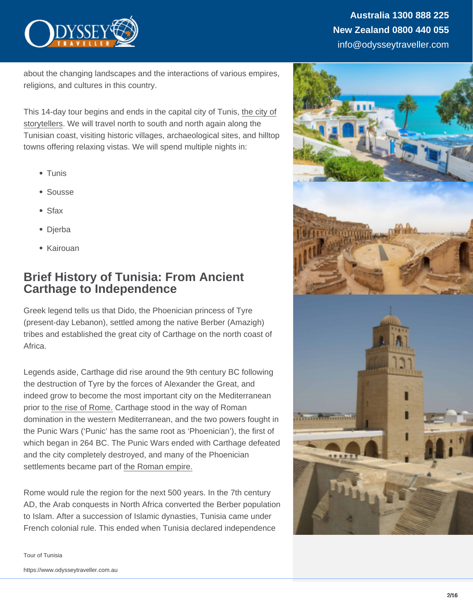about the changing landscapes and the interactions of various empires, religions, and cultures in this country.

This 14-day tour begins and ends in the capital city of Tunis, [the city of](https://www.odysseytraveller.com/articles/literary-allure-of-tangier/) [storytellers](https://www.odysseytraveller.com/articles/literary-allure-of-tangier/). We will travel north to south and north again along the Tunisian coast, visiting historic villages, archaeological sites, and hilltop towns offering relaxing vistas. We will spend multiple nights in:

- Tunis
- Sousse
- Sfax
- Dierba
- Kairouan

### Brief History of Tunisia: From Ancient Carthage to Independence

Greek legend tells us that Dido, the Phoenician princess of Tyre (present-day Lebanon), settled among the native Berber (Amazigh) tribes and established the great city of Carthage on the north coast of Africa.

Legends aside, Carthage did rise around the 9th century BC following the destruction of Tyre by the forces of Alexander the Great, and indeed grow to become the most important city on the Mediterranean prior to [the rise of Rome.](https://www.odysseytraveller.com/articles/ready-who-were-the-roman-emperors/) Carthage stood in the way of Roman domination in the western Mediterranean, and the two powers fought in the Punic Wars ('Punic' has the same root as 'Phoenician'), the first of which began in 264 BC. The Punic Wars ended with Carthage defeated and the city completely destroyed, and many of the Phoenician settlements became part of [the Roman empire.](https://www.odysseytraveller.com/articles/the-roman-empire/)

Rome would rule the region for the next 500 years. In the 7th century AD, the Arab conquests in North Africa converted the Berber population to Islam. After a succession of Islamic dynasties, Tunisia came under French colonial rule. This ended when Tunisia declared independence

https://www.odysseytraveller.com.au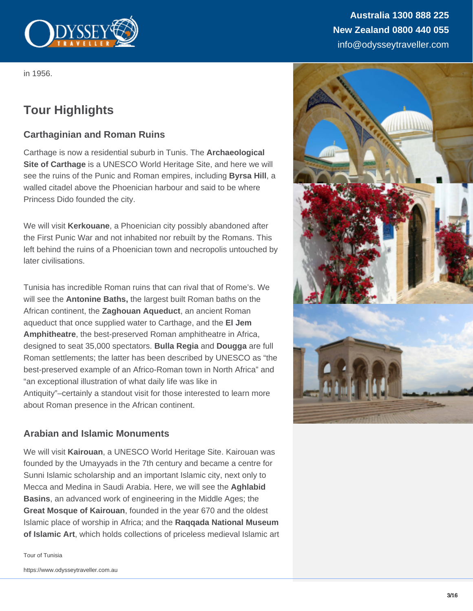

in 1956.

# **Tour Highlights**

### **Carthaginian and Roman Ruins**

Carthage is now a residential suburb in Tunis. The **Archaeological Site of Carthage** is a UNESCO World Heritage Site, and here we will see the ruins of the Punic and Roman empires, including **Byrsa Hill**, a walled citadel above the Phoenician harbour and said to be where Princess Dido founded the city.

We will visit **Kerkouane**, a Phoenician city possibly abandoned after the First Punic War and not inhabited nor rebuilt by the Romans. This left behind the ruins of a Phoenician town and necropolis untouched by later civilisations.

Tunisia has incredible Roman ruins that can rival that of Rome's. We will see the **Antonine Baths,** the largest built Roman baths on the African continent, the **Zaghouan Aqueduct**, an ancient Roman aqueduct that once supplied water to Carthage, and the **El Jem Amphitheatre**, the best-preserved Roman amphitheatre in Africa, designed to seat 35,000 spectators. **Bulla Regia** and **Dougga** are full Roman settlements; the latter has been described by UNESCO as "the best-preserved example of an Africo-Roman town in North Africa" and "an exceptional illustration of what daily life was like in Antiquity"–certainly a standout visit for those interested to learn more about Roman presence in the African continent.

### **Arabian and Islamic Monuments**

We will visit **Kairouan**, a UNESCO World Heritage Site. Kairouan was founded by the Umayyads in the 7th century and became a centre for Sunni Islamic scholarship and an important Islamic city, next only to Mecca and Medina in Saudi Arabia. Here, we will see the **Aghlabid Basins**, an advanced work of engineering in the Middle Ages; the **Great Mosque of Kairouan**, founded in the year 670 and the oldest Islamic place of worship in Africa; and the **Raqqada National Museum of Islamic Art**, which holds collections of priceless medieval Islamic art

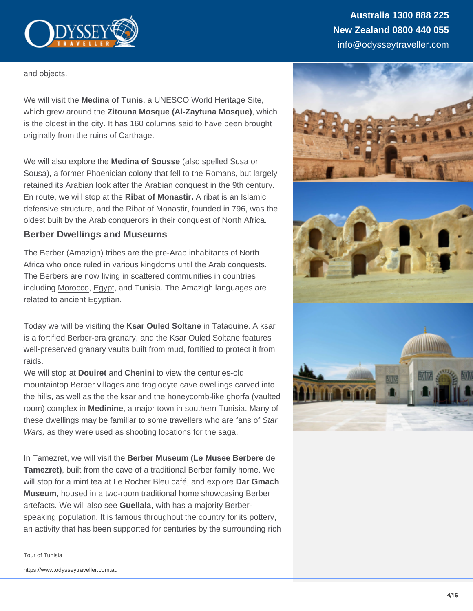and objects.

We will visit the Medina of Tunis , a UNESCO World Heritage Site, which grew around the Zitouna Mosque (Al-Zaytuna Mosque) , which is the oldest in the city. It has 160 columns said to have been brought originally from the ruins of Carthage.

We will also explore the Medina of Sousse (also spelled Susa or Sousa), a former Phoenician colony that fell to the Romans, but largely retained its Arabian look after the Arabian conquest in the 9th century. En route, we will stop at the Ribat of Monastir. A ribat is an Islamic defensive structure, and the Ribat of Monastir, founded in 796, was the oldest built by the Arab conquerors in their conquest of North Africa.

#### Berber Dwellings and Museums

The Berber (Amazigh) tribes are the pre-Arab inhabitants of North Africa who once ruled in various kingdoms until the Arab conquests. The Berbers are now living in scattered communities in countries including [Morocco](https://www.odysseytraveller.com/tours-small-groups/morocco-tour/), [Egypt,](https://www.odysseytraveller.com/tours-small-groups/egypt-tour/) and Tunisia. The Amazigh languages are related to ancient Egyptian.

Today we will be visiting the Ksar Ouled Soltane in Tataouine. A ksar is a fortified Berber-era granary, and the Ksar Ouled Soltane features well-preserved granary vaults built from mud, fortified to protect it from raids.

We will stop at Douiret and Chenini to view the centuries-old mountaintop Berber villages and troglodyte cave dwellings carved into the hills, as well as the the ksar and the honeycomb-like ghorfa (vaulted room) complex in Medinine , a major town in southern Tunisia. Many of these dwellings may be familiar to some travellers who are fans of Star Wars, as they were used as shooting locations for the saga.

In Tamezret, we will visit the Berber Museum (Le Musee Berbere de Tamezret) , built from the cave of a traditional Berber family home. We will stop for a mint tea at Le Rocher Bleu café, and explore Dar Gmach Museum, housed in a two-room traditional home showcasing Berber artefacts. We will also see Guellala , with has a majority Berberspeaking population. It is famous throughout the country for its pottery, an activity that has been supported for centuries by the surrounding rich

https://www.odysseytraveller.com.au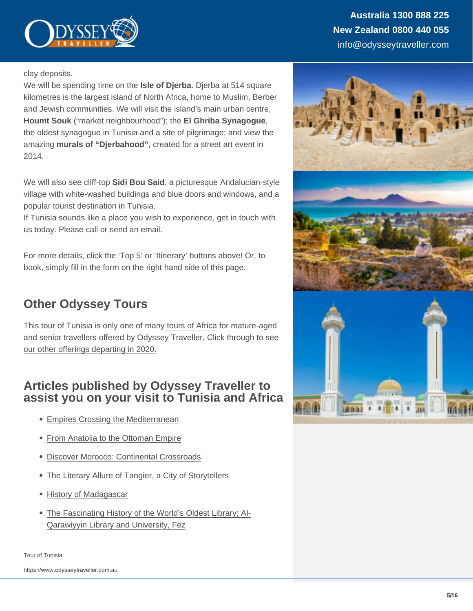clay deposits.

We will be spending time on the Isle of Djerba . Djerba at 514 square kilometres is the largest island of North Africa, home to Muslim, Berber and Jewish communities. We will visit the island's main urban centre, Houmt Souk ("market neighbourhood"); the El Ghriba Synagogue , the oldest synagogue in Tunisia and a site of pilgrimage; and view the amazing murals of "Djerbahood" , created for a street art event in 2014.

We will also see cliff-top Sidi Bou Said , a picturesque Andalucian-style village with white-washed buildings and blue doors and windows, and a popular tourist destination in Tunisia.

If Tunisia sounds like a place you wish to experience, get in touch with us today. [Please call](https://www.odysseytraveller.com/contact-us/) or [send an email.](mailto:info@odysseytravel.com.au) 

For more details, click the 'Top 5' or 'Itinerary' buttons above! Or, to book, simply fill in the form on the right hand side of this page.

# Other Odyssey Tours

This tour of Tunisia is only one of many [tours of Africa](https://www.odysseytraveller.com/destinations/africa/) for mature-aged and senior travellers offered by Odyssey Traveller. Click through [to see](https://www.odysseytraveller.com/destinations/africa/) [our other offerings departing in 2020.](https://www.odysseytraveller.com/destinations/africa/)

### Articles published by Odyssey Traveller to assist you on your visit to Tunisia and Africa

- [Empires Crossing the Mediterranean](https://www.odysseytraveller.com/articles/empires-crossing-the-mediterranean-1130-1300/)
- [From Anatolia to the Ottoman Empire](https://www.odysseytraveller.com/articles/anatolia-ottoman-empire/)
- [Discover Morocco: Continental Crossroads](https://www.odysseytraveller.com/articles/discover-morocco/)
- [The Literary Allure of Tangier, a City of Storytellers](https://www.odysseytraveller.com/articles/literary-allure-of-tangier/)
- [History of Madagascar](https://www.odysseytraveller.com/articles/madagascar-history/)
- [The Fascinating History of the World's Oldest Library; Al-](https://www.odysseytraveller.com/articles/the-fascinating-history-of-the-worlds-oldest-library/)[Qarawiyyin Library and University, Fez](https://www.odysseytraveller.com/articles/the-fascinating-history-of-the-worlds-oldest-library/)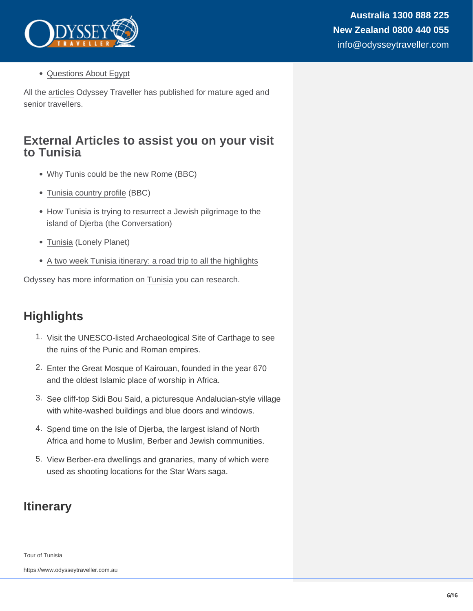[Questions About Egypt](https://www.odysseytraveller.com/articles/questions-about-egypt/)

All the [articles](https://www.odysseytraveller.com/articles-about-travel/) Odyssey Traveller has published for mature aged and senior travellers.

### External Articles to assist you on your visit to Tunisia

- [Why Tunis could be the new Rome](http://www.bbc.com/travel/story/20200125-why-tunis-could-be-the-new-rome) (BBC)
- [Tunisia country profile](https://www.bbc.com/news/world-africa-14107241) (BBC)
- [How Tunisia is trying to resurrect a Jewish pilgrimage to the](http://theconversation.com/how-tunisia-is-trying-to-resurrect-a-jewish-pilgrimage-to-the-island-of-djerba-117481) [island of Djerba](http://theconversation.com/how-tunisia-is-trying-to-resurrect-a-jewish-pilgrimage-to-the-island-of-djerba-117481) (the Conversation)
- [Tunisia](https://www.lonelyplanet.com/tunisia) (Lonely Planet)
- [A two week Tunisia itinerary: a road trip to all the highlights](https://www.christravelblog.com/tunisia-a-two-week-tunisia-itinerary-a-road-trip-to-all-the-highlights/)

Odyssey has more information on [Tunisia](https://www.odysseytraveller.com/destinations/africa/tunisia/) you can research.

## **Highlights**

- 1. Visit the UNESCO-listed Archaeological Site of Carthage to see the ruins of the Punic and Roman empires.
- 2. Enter the Great Mosque of Kairouan, founded in the year 670 and the oldest Islamic place of worship in Africa.
- 3. See cliff-top Sidi Bou Said, a picturesque Andalucian-style village with white-washed buildings and blue doors and windows.
- 4. Spend time on the Isle of Djerba, the largest island of North Africa and home to Muslim, Berber and Jewish communities.
- 5. View Berber-era dwellings and granaries, many of which were used as shooting locations for the Star Wars saga.

## **Itinerary**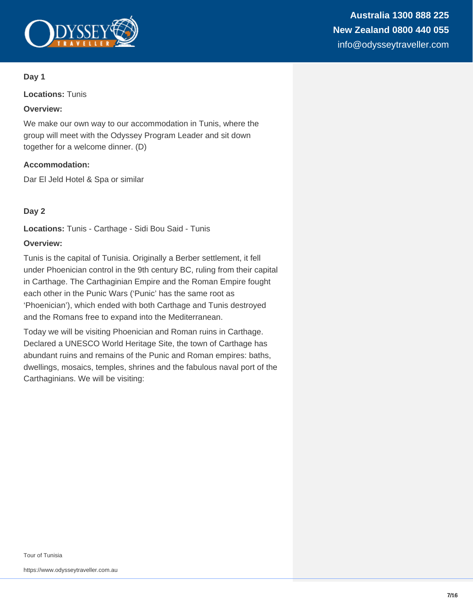

#### **Day 1**

**Locations:** Tunis

#### **Overview:**

We make our own way to our accommodation in Tunis, where the group will meet with the Odyssey Program Leader and sit down together for a welcome dinner. (D)

#### **Accommodation:**

Dar El Jeld Hotel & Spa or similar

#### **Day 2**

**Locations:** Tunis - Carthage - Sidi Bou Said - Tunis

#### **Overview:**

Tunis is the capital of Tunisia. Originally a Berber settlement, it fell under Phoenician control in the 9th century BC, ruling from their capital in Carthage. The Carthaginian Empire and the Roman Empire fought each other in the Punic Wars ('Punic' has the same root as 'Phoenician'), which ended with both Carthage and Tunis destroyed and the Romans free to expand into the Mediterranean.

Today we will be visiting Phoenician and Roman ruins in Carthage. Declared a UNESCO World Heritage Site, the town of Carthage has abundant ruins and remains of the Punic and Roman empires: baths, dwellings, mosaics, temples, shrines and the fabulous naval port of the Carthaginians. We will be visiting: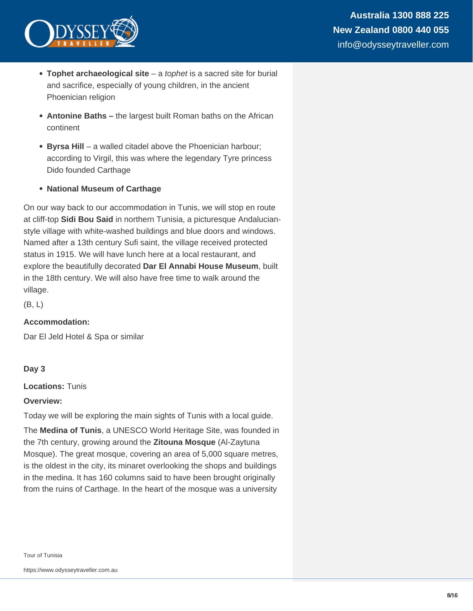

- **Tophet archaeological site** a tophet is a sacred site for burial and sacrifice, especially of young children, in the ancient Phoenician religion
- **Antonine Baths** the largest built Roman baths on the African continent
- **Byrsa Hill** a walled citadel above the Phoenician harbour; according to Virgil, this was where the legendary Tyre princess Dido founded Carthage
- **National Museum of Carthage**

On our way back to our accommodation in Tunis, we will stop en route at cliff-top **Sidi Bou Said** in northern Tunisia, a picturesque Andalucianstyle village with white-washed buildings and blue doors and windows. Named after a 13th century Sufi saint, the village received protected status in 1915. We will have lunch here at a local restaurant, and explore the beautifully decorated **Dar El Annabi House Museum**, built in the 18th century. We will also have free time to walk around the village.

(B, L)

### **Accommodation:**

Dar El Jeld Hotel & Spa or similar

#### **Day 3**

**Locations:** Tunis

#### **Overview:**

Today we will be exploring the main sights of Tunis with a local guide.

The **Medina of Tunis**, a UNESCO World Heritage Site, was founded in the 7th century, growing around the **Zitouna Mosque** (Al-Zaytuna Mosque). The great mosque, covering an area of 5,000 square metres, is the oldest in the city, its minaret overlooking the shops and buildings in the medina. It has 160 columns said to have been brought originally from the ruins of Carthage. In the heart of the mosque was a university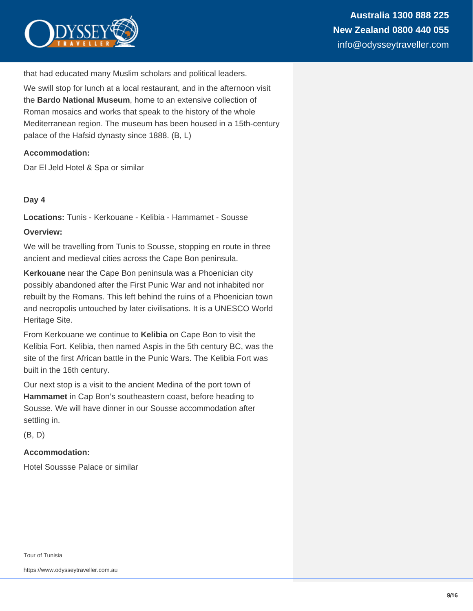

that had educated many Muslim scholars and political leaders.

We swill stop for lunch at a local restaurant, and in the afternoon visit the **Bardo National Museum**, home to an extensive collection of Roman mosaics and works that speak to the history of the whole Mediterranean region. The museum has been housed in a 15th-century palace of the Hafsid dynasty since 1888. (B, L)

#### **Accommodation:**

Dar El Jeld Hotel & Spa or similar

#### **Day 4**

**Locations:** Tunis - Kerkouane - Kelibia - Hammamet - Sousse

#### **Overview:**

We will be travelling from Tunis to Sousse, stopping en route in three ancient and medieval cities across the Cape Bon peninsula.

**Kerkouane** near the Cape Bon peninsula was a Phoenician city possibly abandoned after the First Punic War and not inhabited nor rebuilt by the Romans. This left behind the ruins of a Phoenician town and necropolis untouched by later civilisations. It is a UNESCO World Heritage Site.

From Kerkouane we continue to **Kelibia** on Cape Bon to visit the Kelibia Fort. Kelibia, then named Aspis in the 5th century BC, was the site of the first African battle in the Punic Wars. The Kelibia Fort was built in the 16th century.

Our next stop is a visit to the ancient Medina of the port town of **Hammamet** in Cap Bon's southeastern coast, before heading to Sousse. We will have dinner in our Sousse accommodation after settling in.

(B, D)

#### **Accommodation:**

Hotel Soussse Palace or similar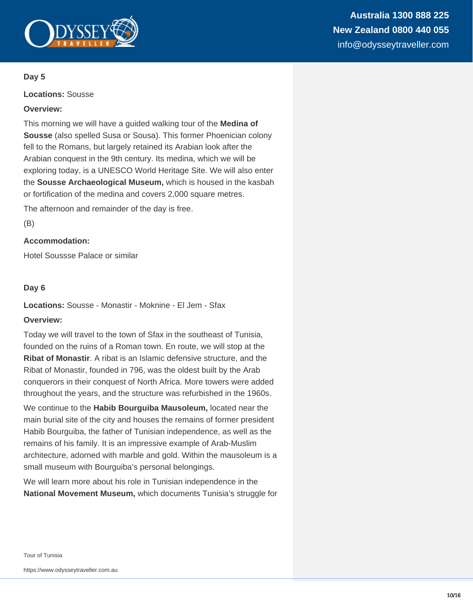

#### **Day 5**

**Locations:** Sousse

#### **Overview:**

This morning we will have a guided walking tour of the **Medina of Sousse** (also spelled Susa or Sousa). This former Phoenician colony fell to the Romans, but largely retained its Arabian look after the Arabian conquest in the 9th century. Its medina, which we will be exploring today, is a UNESCO World Heritage Site. We will also enter the **Sousse Archaeological Museum,** which is housed in the kasbah or fortification of the medina and covers 2,000 square metres.

The afternoon and remainder of the day is free.

(B)

#### **Accommodation:**

Hotel Soussse Palace or similar

#### **Day 6**

**Locations:** Sousse - Monastir - Moknine - El Jem - Sfax

#### **Overview:**

Today we will travel to the town of Sfax in the southeast of Tunisia, founded on the ruins of a Roman town. En route, we will stop at the **Ribat of Monastir**. A ribat is an Islamic defensive structure, and the Ribat of Monastir, founded in 796, was the oldest built by the Arab conquerors in their conquest of North Africa. More towers were added throughout the years, and the structure was refurbished in the 1960s.

We continue to the **Habib Bourguiba Mausoleum,** located near the main burial site of the city and houses the remains of former president Habib Bourguiba, the father of Tunisian independence, as well as the remains of his family. It is an impressive example of Arab-Muslim architecture, adorned with marble and gold. Within the mausoleum is a small museum with Bourguiba's personal belongings.

We will learn more about his role in Tunisian independence in the **National Movement Museum,** which documents Tunisia's struggle for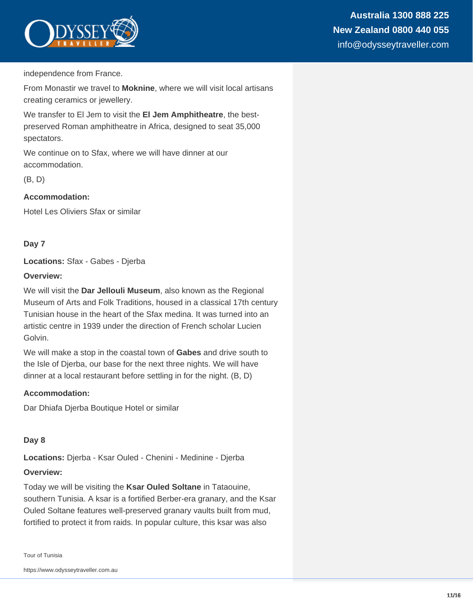

independence from France.

From Monastir we travel to **Moknine**, where we will visit local artisans creating ceramics or jewellery.

We transfer to El Jem to visit the **El Jem Amphitheatre**, the bestpreserved Roman amphitheatre in Africa, designed to seat 35,000 spectators.

We continue on to Sfax, where we will have dinner at our accommodation.

(B, D)

#### **Accommodation:**

Hotel Les Oliviers Sfax or similar

#### **Day 7**

**Locations:** Sfax - Gabes - Djerba

#### **Overview:**

We will visit the **Dar Jellouli Museum**, also known as the Regional Museum of Arts and Folk Traditions, housed in a classical 17th century Tunisian house in the heart of the Sfax medina. It was turned into an artistic centre in 1939 under the direction of French scholar Lucien Golvin.

We will make a stop in the coastal town of **Gabes** and drive south to the Isle of Djerba, our base for the next three nights. We will have dinner at a local restaurant before settling in for the night. (B, D)

#### **Accommodation:**

Dar Dhiafa Djerba Boutique Hotel or similar

#### **Day 8**

**Locations:** Djerba - Ksar Ouled - Chenini - Medinine - Djerba

#### **Overview:**

Today we will be visiting the **Ksar Ouled Soltane** in Tataouine, southern Tunisia. A ksar is a fortified Berber-era granary, and the Ksar Ouled Soltane features well-preserved granary vaults built from mud, fortified to protect it from raids. In popular culture, this ksar was also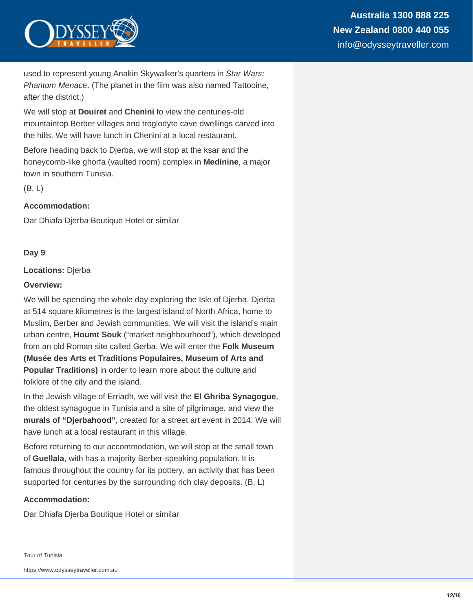

used to represent young Anakin Skywalker's quarters in Star Wars: Phantom Menace. (The planet in the film was also named Tattooine, after the district.)

We will stop at **Douiret** and **Chenini** to view the centuries-old mountaintop Berber villages and troglodyte cave dwellings carved into the hills. We will have lunch in Chenini at a local restaurant.

Before heading back to Djerba, we will stop at the ksar and the honeycomb-like ghorfa (vaulted room) complex in **Medinine**, a major town in southern Tunisia.

(B, L)

#### **Accommodation:**

Dar Dhiafa Djerba Boutique Hotel or similar

#### **Day 9**

#### **Locations:** Djerba

#### **Overview:**

We will be spending the whole day exploring the Isle of Djerba. Djerba at 514 square kilometres is the largest island of North Africa, home to Muslim, Berber and Jewish communities. We will visit the island's main urban centre, **Houmt Souk** ("market neighbourhood"), which developed from an old Roman site called Gerba. We will enter the **Folk Museum (Musée des Arts et Traditions Populaires, Museum of Arts and Popular Traditions)** in order to learn more about the culture and folklore of the city and the island.

In the Jewish village of Erriadh, we will visit the **El Ghriba Synagogue**, the oldest synagogue in Tunisia and a site of pilgrimage, and view the **murals of "Djerbahood"**, created for a street art event in 2014. We will have lunch at a local restaurant in this village.

Before returning to our accommodation, we will stop at the small town of **Guellala**, with has a majority Berber-speaking population. It is famous throughout the country for its pottery, an activity that has been supported for centuries by the surrounding rich clay deposits. (B, L)

#### **Accommodation:**

Dar Dhiafa Djerba Boutique Hotel or similar

Tour of Tunisia

https://www.odysseytraveller.com.au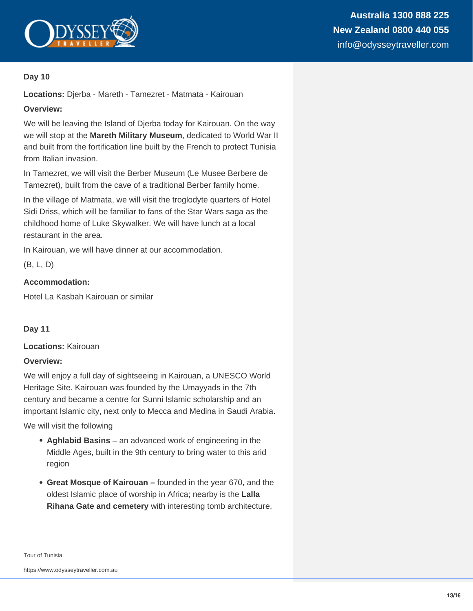

#### **Day 10**

**Locations:** Djerba - Mareth - Tamezret - Matmata - Kairouan

#### **Overview:**

We will be leaving the Island of Djerba today for Kairouan. On the way we will stop at the **Mareth Military Museum**, dedicated to World War II and built from the fortification line built by the French to protect Tunisia from Italian invasion.

In Tamezret, we will visit the Berber Museum (Le Musee Berbere de Tamezret), built from the cave of a traditional Berber family home.

In the village of Matmata, we will visit the troglodyte quarters of Hotel Sidi Driss, which will be familiar to fans of the Star Wars saga as the childhood home of Luke Skywalker. We will have lunch at a local restaurant in the area.

In Kairouan, we will have dinner at our accommodation.

(B, L, D)

#### **Accommodation:**

Hotel La Kasbah Kairouan or similar

**Day 11**

**Locations:** Kairouan

#### **Overview:**

We will enjoy a full day of sightseeing in Kairouan, a UNESCO World Heritage Site. Kairouan was founded by the Umayyads in the 7th century and became a centre for Sunni Islamic scholarship and an important Islamic city, next only to Mecca and Medina in Saudi Arabia.

We will visit the following

- **Aghlabid Basins** an advanced work of engineering in the Middle Ages, built in the 9th century to bring water to this arid region
- **Great Mosque of Kairouan** founded in the year 670, and the oldest Islamic place of worship in Africa; nearby is the **Lalla Rihana Gate and cemetery** with interesting tomb architecture,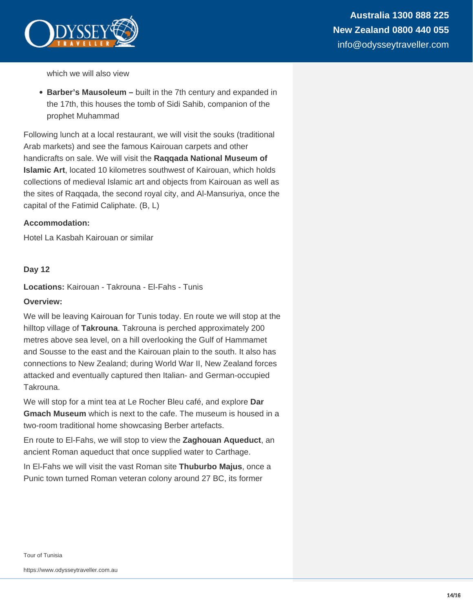

which we will also view

**Barber's Mausoleum –** built in the 7th century and expanded in the 17th, this houses the tomb of Sidi Sahib, companion of the prophet Muhammad

Following lunch at a local restaurant, we will visit the souks (traditional Arab markets) and see the famous Kairouan carpets and other handicrafts on sale. We will visit the **Raqqada National Museum of Islamic Art**, located 10 kilometres southwest of Kairouan, which holds collections of medieval Islamic art and objects from Kairouan as well as the sites of Raqqada, the second royal city, and Al-Mansuriya, once the capital of the Fatimid Caliphate. (B, L)

#### **Accommodation:**

Hotel La Kasbah Kairouan or similar

#### **Day 12**

**Locations:** Kairouan - Takrouna - El-Fahs - Tunis

#### **Overview:**

We will be leaving Kairouan for Tunis today. En route we will stop at the hilltop village of **Takrouna**. Takrouna is perched approximately 200 metres above sea level, on a hill overlooking the Gulf of Hammamet and Sousse to the east and the Kairouan plain to the south. It also has connections to New Zealand; during World War II, New Zealand forces attacked and eventually captured then Italian- and German-occupied Takrouna.

We will stop for a mint tea at Le Rocher Bleu café, and explore **Dar Gmach Museum** which is next to the cafe. The museum is housed in a two-room traditional home showcasing Berber artefacts.

En route to El-Fahs, we will stop to view the **Zaghouan Aqueduct**, an ancient Roman aqueduct that once supplied water to Carthage.

In El-Fahs we will visit the vast Roman site **Thuburbo Majus**, once a Punic town turned Roman veteran colony around 27 BC, its former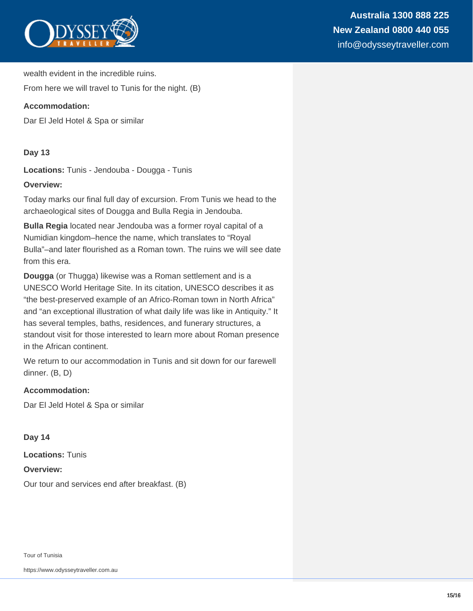

wealth evident in the incredible ruins.

From here we will travel to Tunis for the night. (B)

#### **Accommodation:**

Dar El Jeld Hotel & Spa or similar

#### **Day 13**

**Locations:** Tunis - Jendouba - Dougga - Tunis

#### **Overview:**

Today marks our final full day of excursion. From Tunis we head to the archaeological sites of Dougga and Bulla Regia in Jendouba.

**Bulla Regia** located near Jendouba was a former royal capital of a Numidian kingdom–hence the name, which translates to "Royal Bulla"–and later flourished as a Roman town. The ruins we will see date from this era.

**Dougga** (or Thugga) likewise was a Roman settlement and is a UNESCO World Heritage Site. In its citation, UNESCO describes it as "the best-preserved example of an Africo-Roman town in North Africa" and "an exceptional illustration of what daily life was like in Antiquity." It has several temples, baths, residences, and funerary structures, a standout visit for those interested to learn more about Roman presence in the African continent.

We return to our accommodation in Tunis and sit down for our farewell dinner. (B, D)

#### **Accommodation:**

Dar El Jeld Hotel & Spa or similar

**Day 14**

**Locations:** Tunis

**Overview:**

Our tour and services end after breakfast. (B)

Tour of Tunisia

https://www.odysseytraveller.com.au